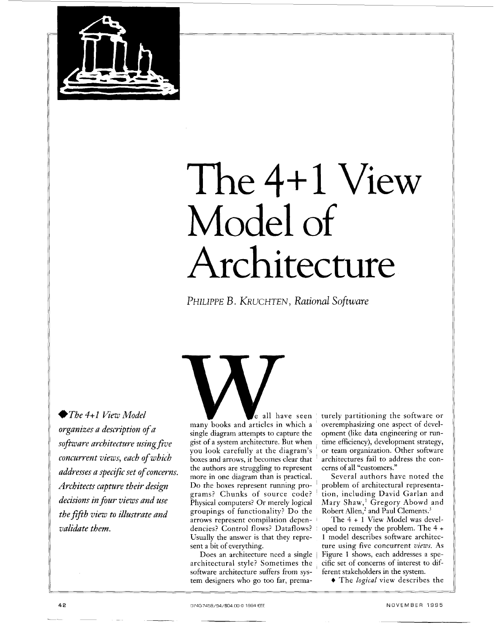

# The 4+1 View Model of Architecture

*PHlLlPPE* B. *KRUCHTEN,* Rational Software

◆The 4+1 View Model *organizes a description of a sojiware architecture using Jive concurrent views, each of which* addresses a specific set of concerns. *Architeas capture their design decision5 in* four *views and use the fifth view to illustrate and validate them.* 

many-books and-articles in which a single diagram attempts to capture the gist of a system architecture. But when you look carefully at the diagram's boxes and arrows, it becomes clear that the authors are struggling to represent<br>more in one diagram than is practical. Do the boxes represent running programs? Chunks of source code? Physical computers? Or merely logical groupings of functionality? Do the arrows represent compilation dependencies? Control flows? Dataflows? Usually the answer is that they represent a bit of everything.

Does an architecture need a single architectural style? Sometimes the software architecture suffers from system designers who go too far, prema-

e all have seen turely partitioning the software or overemphasizing one aspect of development (like data engineering or runtime efficiency), development strategy, or team organization. Other software architectures fail to address the concerns of all "customers."

> Several authors have noted the problem of architectural representation, including David Garlan and Mary Shaw,' Gregory Abowd and Robert Allen,<sup>2</sup> and Paul Clements.<sup>3</sup>

> The 4 + 1 View Model was developed to remedy the problem. The 4 + 1 model describes software architecture using five concurrent *views.* As [Figure 1](#page-1-0) shows, each addresses a specific set of concerns of interest to different stakeholders in the system.

+ The *logical* view describes the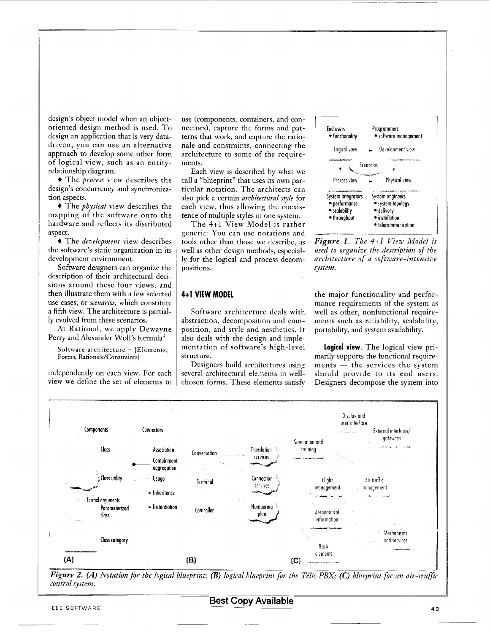<span id="page-1-0"></span>design's object model when an objectoriented design method is used. To design an application that is very datadriven, you can use an alternative approach to develop some other form of logical view, such as an entityrelationship diagram.

+ The *process* view describes the design's concurrency and synchronization aspects.

+ The *physical* view describes the mapping of the software onto the hardware and reflects its distributed aspect.

+ The *development* view describes the software's static organization in its development environment.

Software designers can organize the description of their architectural decisions around these four views, and then illustrate them with a few selected use cases, or *scenarios,* which constitute a fifth view. The architecture is partially evolved from these scenarios.

At Rational, we apply Dewayne Perry and Alexander Wolfs formula'

Software architecture = [Elements, Forms, Rationale/Constraints}

independently on each view. For each view we define the set of elements to use (components, containers, and connectors), capture the forms and patterns that work, and capture the rationale and constraints, connecting the architecture to some of the requirements.

Each view is described by what we call a "blueprint" that uses its own particular notation. The architects can also pick a certain *architectural style* for each view, thus allowing the coexistence of multiple styles in one system.

The 4+1 View Model is rather generic: You can use notations and tools other than those we describe, as well as other design methods, especially for the logical and process decompositions.

## **4t1 VIEW MODEL**

Software architecture deals with abstraction, decomposition and composition, and style and aesthetics. It also deals with the design and implementation of software's high-level structure.

Designers build architectures using several architectural elements in wellchosen forms. These elements satisfy



*Figure 1. The 4+1 View Model is used to organize the description of the architecture of a software-intensive system.* 

the major functionality and performance requirements of the system as well as other, nonfunctional requirements such as reliability, scalability, portability, and system availability.

**logical view.** The logical view primarily supports the functional require-**Logical view.** The logical view pri-<br>marily supports the functional require-<br>ments — the services the system should provide to its end users. Designers decompose the system into



*Figure 2. (A) Notation for the logical blueprint; (B) logical blueprint for the Télic PBX; (C) blueprint for an air-traffic control system.*  EEE SOFTWARE **BEST Copy Available** 

**Best Copy Available** 

 $\overline{\phantom{a}}$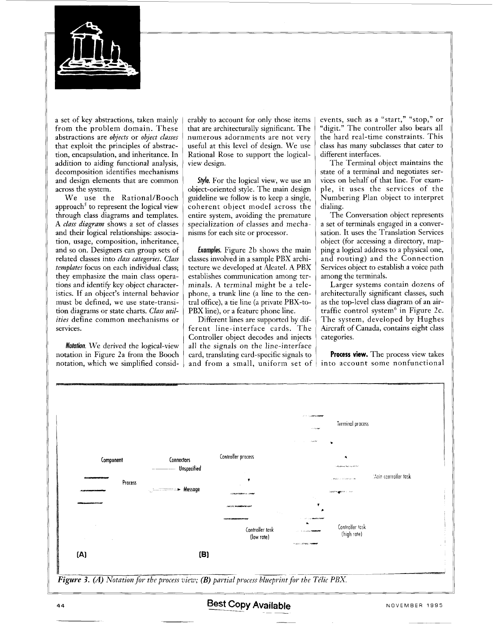<span id="page-2-0"></span>

a set of key abstractions, taken mainly from the problem domain. These abstractions are *objects* or *object classes*  that exploit the principles of abstraction, encapsulation, and inheritance. In addition to aiding functional analysis, decomposition identifies mechanisms and design elements that are common across the system.

We use the Rational/Booch approach' to represent the logical view through class diagrams and templates. **A** *class diagram* shows a set of classes and their logical relationships: association, usage, composition, inheritance, and so on. Designers can group sets of related classes into *class categories. Class templates* focus on each individual class; they emphasize the main class operations and identify key object characteristics. If an object's internal behavior must be defined, we use state-transition diagrams or state charts. *Class utilities* define common mechanisms or services.

*Ahtion.* We derived the logical-view notation in Figure 2a from the Booch notation, which we simplified considerably to account for only those items that are architecturally significant. The numerous adornments are not very useful at this level of design. We use Rational Rose to support the logicalview design.

**Style.** For the logical view, we use an object-oriented style. The main design guideline we follow is to keep a single, coherent object model across the entire system, avoiding the premature specialization of classes and mechanisms for each site or processor.

Examples. Figure 2b shows the main classes involved in a sample PBX architecture we developed at Alcatel. **A** PBX establishes communication among terminals. **A** terminal might be a telephone, a trunk line (a line to the central ofice), a tie line (a private PBX-to-PBX line), or a feature phone line.

Different lines are supported by different line-interface cards. The Controller object decodes and injects all the signals on the line-interface card, translating card-specific signals to and from a small, uniform set of  $\mid$  into account some nonfunctional

events, such as a "start," "stop," or "digit." The controller also bears all the hard real-time constraints. This class has many subclasses that cater to different interfaces.

The Terminal object maintains the state of a terminal and negotiates services on behalf of that line. For example, it uses the services of the Numbering Plan object to interpret dialing.

The Conversation object represents a set of terminals engaged in a conversation. It uses the Translation Services object (for accessing a directory, mapping a logical address to a physical one, and routing) and the Connection Services object to establish a voice path among the terminals.

Larger systems contain dozens of architecturally significant classes, such as the top-level class diagram of an airtraffic control system' in Figure 2c. The system, developed by Hughes Aircraft of Canada, contains eight class categories.

**Process view.** The process view takes

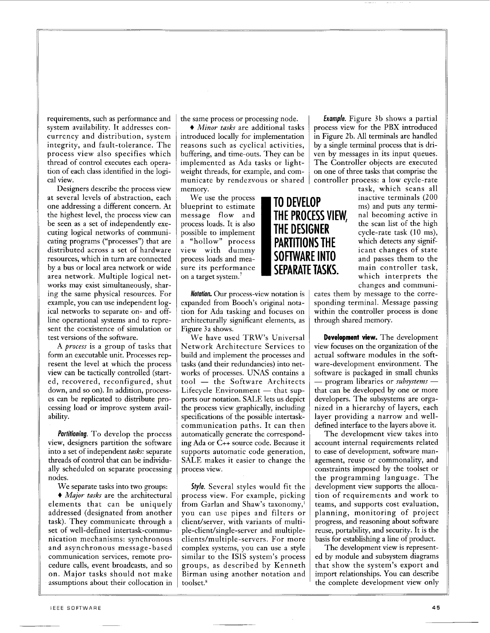requirements, such as performance and system availability. It addresses concurrency and distribution, system integrity, and fault-tolerance. The process view also specifies which thread of control executes each operation of each class identified in the logical view.

Designers describe the process view at several levels of abstraction, each one addressing a different concern. At the highest level, the process view can he seen as a set of independently executing logical networks of communicating programs ("processes") that are distributed across a set of hardware resources, which in turn are connected by a bus or local area network or wide area network. Multiple logical networks may exist simultaneously, sharing the same physical resources. For example, you can use independent logical networks to separate on- and offline operational systems and to represent the coexistence of simulation or test versions of the software.

A *process* is a group of tasks that form an executable unit. Processes represent the level at which the process view can he tactically controlled (started, recovered, reconfigured, shut down, and so on). In addition, processes can be replicated to distribute processing load or improve system availability.

*fortitioning.* To develop the process view, designers partition the software into a set of independent *tasks:* separate threads of control that can he individually scheduled on separate processing nodes.

We separate tasks into two groups:

+ *Mujor tusks* are the architectural elements that can he uniquely addressed (designated from another task). They communicate through a set of well-defined intertask-communication mechanisms: synchronous and asynchronous message-based communication services, remote procedure calls, event broadcasts, and so on. Major tasks should not make assumptions about their collocation in the same process or processing node.

 $\bullet$  *Minor tasks* are additional tasks introduced locally for implementation reasons such as cyclical activities, buffering, and time-outs. They can he implemented as Ada tasks or lightweight threads, for example, and communicate by rendezvous or shared memory.

We use the process blueprint to estimate process loads. It is also possible to implement

*Notation.* Our process-view notation is expanded from Booch's original notation for Ada tasking and focuses on architecturally significant elements, as Figure **3a** shows.

We have used TRW's Universal Network Architecture Services to build and implement the processes and tasks (and their redundancies) into networks of processes. UNAS contains a tasks (and their redundancies) into net-<br>works of processes. UNAS contains a<br>tool — the Software Architects tool — the Software Architects<br>Lifecycle Environment — that supports our notation. SALE lets us depict the process view graphically, including specifications of the possible intertaskcommunication paths. It can then automatically generate the corresponding Ada or C++ source code. Because it supports automatic code generation, SALE makes it easier to change the process view.

**Style.** Several styles would fit the process view. For example, picking from Garlan and Shaw's taxonomy,' you can use pipes and filters or client/server, with variants of multiple-client/single-server and multipleclients/multiple-servers. For more complex systems, you can use a style similar to the ISIS system's process groups, as described by Kenneth Birman using another notation and toolset.8

*Exomple.* [Figure](#page-2-0) *3* b shows a partial process view for the PBX introduced in Figure 2b. All terminals are handled by a single terminal process that is driven by messages in its input queues. The Controller objects are executed on one of three tasks that comprise the controller process: a low cycle-rate

task, which scans all inactive terminals (200 It is or shared | controller process: a low cycle-rate<br>
task, which scans all<br> **TO DEVELOP** inactive terminals (200<br>
ms) and puts any termi-<br> **THE PROCESS VIEW**, all becoming active in<br>
the scan list of the high<br>
cycle-rat message flow and **THE PROCESS VIEW**, nal becoming active in process loads. It is also "hollow" process **PARTITIONS THE** which detects any signifview with dummy  $\epsilon$   $\epsilon$ DROCESS VIEW, and becoming active in process loads. It is also<br>possible to implement<br>a "hollow" process<br>with dummy<br>process loads and mea-<br>sure its performance **SOFTWARE INTO**<br>STEPARATE TASKS. The scan list of the high<br>ican main excess loads. It is also<br>possible to implement<br>a "hollow" process<br>with dummy<br>process loads and mea-<br>sure its performance<br>on a target system.<sup>7</sup><br>tiew with dummy<br>**SUFTWARE INTO**<br>**SEPARATE TASKS.** The main controller tas sure its performance **SEPARATE TASKS.** main controller task, on a target system.<sup>7</sup> changes and communi-

> cates them by message to the corresponding terminal. Message passing within the controller process is done through shared memory.

**Development view.** The development view focuses on the organization of the actual software modules in the software-development environment. The software is packaged in small chunks ware-development environment. The<br>software is packaged in small chunks<br>— program libraries or *subsystems* that can he developed by one or more developers. The subsystems are organized in a hierarchy of layers, each layer providing a narrow and welldefined interface to the layers above it.

The development view takes into account internal requirements related to ease of development, software management, reuse or commonality, and constraints imposed by the toolset or the programming language. The development view supports the allocation of requirements and work to teams, and supports cost evaluation, planning, monitoring of project progress, and reasoning about software reuse, portability, and security. It is the basis for establishing a line of product.

The development view is represented by module and subsystem diagrams that show the system's export and import relationships. You can describe the complete development view only

L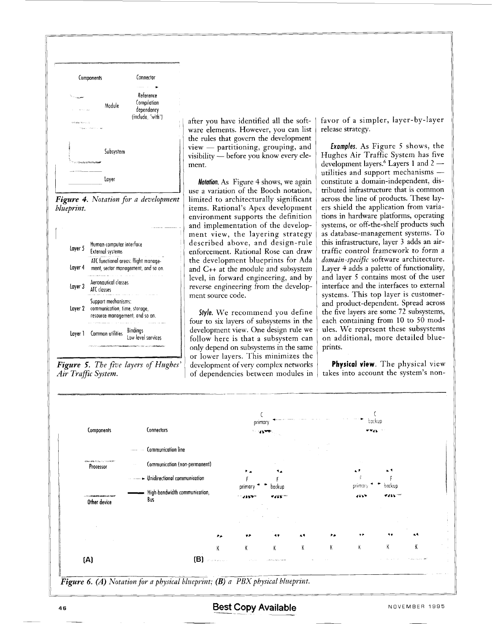

Figure 4. Notation for a development blueprint.



Figure 5. The five layers of Hughes' Air Traffic System.

after you have identified all the software elements. However, you can list the rules that govern the development view - partitioning, grouping, and visibility — before you know every element.

Notation. As Figure 4 shows, we again use a variation of the Booch notation, limited to architecturally significant items. Rational's Apex development environment supports the definition and implementation of the development view, the layering strategy described above, and design-rule enforcement. Rational Rose can draw the development blueprints for Ada and C++ at the module and subsystem level, in forward engineering, and by reverse engineering from the development source code.

Style. We recommend you define four to six layers of subsystems in the development view. One design rule we follow here is that a subsystem can only depend on subsystems in the same or lower layers. This minimizes the development of very complex networks of dependencies between modules in favor of a simpler, layer-by-layer release strategy.

Examples. As Figure 5 shows, the Hughes Air Traffic System has five development layers.<sup>6</sup> Layers 1 and 2 utilities and support mechanisms constitute a domain-independent, distributed infrastructure that is common across the line of products. These layers shield the application from variations in hardware platforms, operating systems, or off-the-shelf products such as database-management systems. To this infrastructure, layer 3 adds an airtraffic control framework to form a domain-specific software architecture. Laver 4 adds a palette of functionality, and layer 5 contains most of the user interface and the interfaces to external systems. This top layer is customerand product-dependent. Spread across the five layers are some 72 subsystems, each containing from 10 to 50 modules. We represent these subsystems on additional, more detailed blueprints.

Physical view. The physical view takes into account the system's non-



Figure 6. (A) Notation for a physical blueprint;  $(B)$  a PBX physical blueprint.

NOVEMBER 1995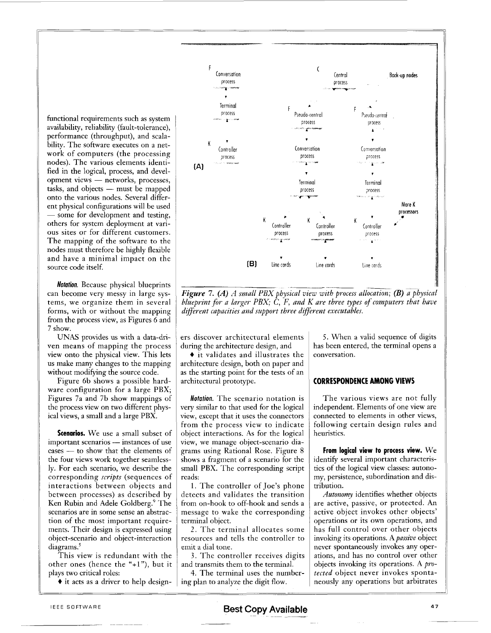functional requirements such as system availability, reliability (fault-tolerance), performance (throughput), and scalability. The software executes on a network of computers (the processing nodes). The various elements identified in the logical, process, and development views - networks, processes, tasks, and objects - must be mapped onto the various nodes. Several different physical configurations will be used - some for development and testing, others for system deployment at various sites or for different customers. The mapping of the software to the nodes must therefore be highly flexible and have a minimal impact on the source code itself.

**Notation.** Because physical blueprints can become very messy in large systems, we organize them in several forms, with or without the mapping from the process view, as Figures 6 and 7 show.

UNAS provides us with a data-driven means of mapping the process view onto the physical view. This lets us make many changes to the mapping without modifying the source code.

Figure 6b shows a possible hardware configuration for a large PBX; Figures 7a and 7b show mappings of the process view on two different physical views, a small and a large PBX.

Scenarios. We use a small subset of important scenarios — instances of use cases - to show that the elements of the four views work together seamlessly. For each scenario, we describe the corresponding *scripts* (sequences of interactions between objects and between processes) as described by Ken Rubin and Adele Goldberg.<sup>9</sup> The scenarios are in some sense an abstraction of the most important requirements. Their design is expressed using object-scenario and object-interaction diagrams.<sup>5</sup>

This view is redundant with the other ones (hence the "+1"), but it plays two critical roles:

 $\bullet$  it acts as a driver to help design-



**Figure 7.** (A) A small PBX physical view with process allocation; (B) a physical blueprint for a larger PBX;  $\tilde{C}$ ,  $\tilde{F}$ , and  $K$  are three types of computers that have different capacities and support three different executables.

ers discover architectural elements during the architecture design, and

♦ it validates and illustrates the architecture design, both on paper and as the starting point for the tests of an architectural prototype.

Notation. The scenario notation is very similar to that used for the logical view, except that it uses the connectors from the process view to indicate object interactions. As for the logical view, we manage object-scenario diagrams using Rational Rose. Figure 8 shows a fragment of a scenario for the small PBX. The corresponding script reads:

1. The controller of Joe's phone detects and validates the transition from on-hook to off-hook and sends a message to wake the corresponding terminal object.

2. The terminal allocates some resources and tells the controller to emit a dial tone.

3. The controller receives digits and transmits them to the terminal.

4. The terminal uses the numbering plan to analyze the digit flow.

5. When a valid sequence of digits has been entered, the terminal opens a conversation.

## **CORRESPONDENCE AMONG VIEWS**

The various views are not fully independent. Elements of one view are connected to elements in other views, following certain design rules and heuristics.

From logical view to process view.  $We$ identify several important characteristics of the logical view classes: autonomy, persistence, subordination and distribution.

Autonomy identifies whether objects are active, passive, or protected. An active object invokes other objects' operations or its own operations, and has full control over other objects invoking its operations. A *passive* object never spontaneously invokes any operations, and has no control over other objects invoking its operations. A protected object never invokes spontaneously any operations but arbitrates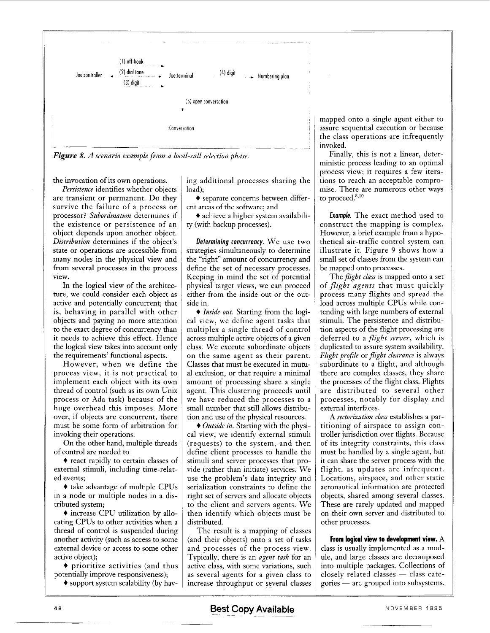<span id="page-6-0"></span>

*Figure 8. A scenario example fiom a local-call selection phase.*  $\parallel$   $\parallel$ 

the invocation of its own operations.

*Persistence* identifies whether objects are transient or permanent. Do they survive the failure of a process or processor? *Subordination* determines if the existence or persistence of an object depends upon another object. *Distribution* determines if the object's state or operations are accessible from many nodes in the physical view and from several processes in the process view.

In the logical view of the architecture, we could consider each object as active and potentially concurrent; that is, behaving in parallel with other objects and paying no more attention to the exact degree of concurrency than it needs to achieve this effect. Hence the logical view takes into account only the requirements' functional aspects.

However, when we define the process view, it is not practical to implement each object with its own thread of control (such as its own Unix process or Ada task) because of the huge overhead this imposes. More over, if objects are concurrent, there must be some form of arbitration for invoking their operations.

On the other hand, multiple threads of control are needed to

+ react rapidly to certain classes of external stimuli, including time-related events;

+ take advantage of multiple CPUs in a node or multiple nodes in a distributed system;

+ increase CPU utilization by allocating CPUs to other activities when a thread of control is suspended during another activity (such as access to some external device or access to some other active object);

 $\bullet$  prioritize activities (and thus potentially improve responsiveness);

+ support system scalability (by hav-

ing additional processes sharing the load);

+ separate concerns between different areas of the software; and

+ achieve a higher system availability (with backup processes).

*Determining concurrency.* We use two strategies simultaneously to determine the "right" amount of concurrency and define the set of necessary processes. Keeping in mind the set of potential physical target views, we can proceed either from the inside out or the outside in.

+ *Inside out.* Starting from the logical view, we define agent tasks that multiplex a single thread of control across multiple active objects of a given class. We execute subordinate objects on the same agent as their parent. Classes that must be executed in mutual exclusion, or that require a minimal amount of processing share a single agent. This clustering proceeds until we have reduced the processes to a small number that still allows distribution and use of the physical resources.

+ *Outside in.* Starting with the physical view, we identify external stimuli (requests) to the system, and then define client processes to handle the stimuli and server processes that provide (rather than initiate) services. We use the problem's data integrity and serialization constraints to define the right set of servers and allocate objects to the client and servers agents. We then identify which objects must be distributed.

The result is a mapping of classes (and their objects) onto a set of tasks and processes of the process view. Typically, there is an *agent task* for an active class, with some variations, such as several agents for a given class to increase throughput or several classes

mapped onto a single agent either to assure sequential execution or because the class operations are infrequently invoked.

Finally, this is not a linear, deterministic process leading to an optimal process view; it requires a few iterations to reach an acceptable compromise. There are numerous other ways to proceed. $8,10$ 

*Exumple.* The exact method used to construct the mapping is complex. However, a brief example from a hypothetical air-traffic control system can illustrate it. [Figure 9](#page-7-0) shows how a small set of classes from the system can be mapped onto processes.

The *flight class* is mapped onto a set of *flight agents* that must quickly process many flights and spread the load across multiple CPUs while contending with large numbers of external stimuli. The persistence and distribution aspects of the flight processing are deferred to a *flight serve?',* which is duplicated to assure system availability. *Flight profile* or *flight clearance* is always subordinate to a flight, and although there are complex classes, they share the processes of the flight class. Flights are distributed to several other processes, notably for display and external interfaces.

A *sectorization class* establishes a partitioning of airspace to assign controller jurisdiction over flights. Because of its integrity constraints, this class must be handled by a single agent, but it can share the server process with the flight, as updates are infrequent. Locations, airspace, and other static aeronautical information are protected objects, shared among several classes. These are rarely updated and mapped on their own server and distributed to other processes.

**From logical view to development view.** A class is usually implemented as a module, and large classes are decomposed into multiple packages. Collections of closely related classes - class categories - are grouped into subsystems.

**Best Copy Available** NOVEMBER 1995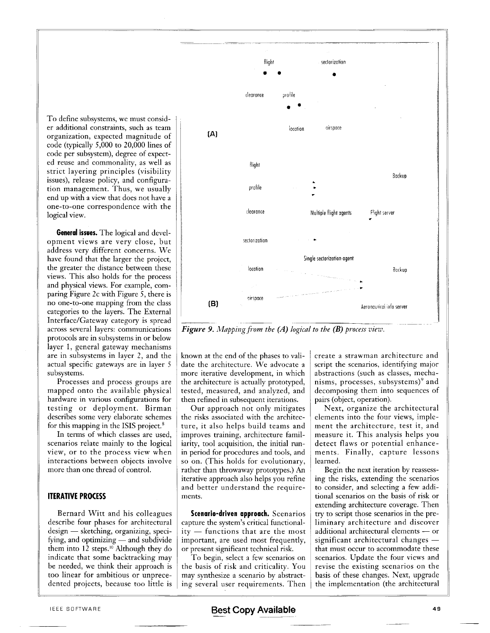<span id="page-7-0"></span>To define subsystems, we must consid- ' er additional constraints, such as team organization, expected magnitude of code (typically 5,000 to 20,000 lines of code per subsystem), degree of expected reuse and commonality, as well as strict layering principles (visibility issues), release policy, and configuration management. Thus, we usually end up with a view that does not have a one-to-one correspondence with the logical view.

**General issues.** The logical and development views are very close, but address very different concerns. We have found that the larger the project, the greater the distance between these views. This also holds for the process and physical views. For example, comparing Figure 2c with Figure *5,* there is no one-to-one mapping from the class categories to the layers. The External Interface/Gateway category is spread across several layers: communications protocols are in subsystems in or below layer 1, general gateway mechanisms are in subsystems in layer *2,* and the actual specific gateways are in layer *5*  subsystems.

Processes and process groups are mapped onto the available physical hardware in various configurations for testing or deployment. Birman describes some very elaborate schemes for this mapping in the ISIS project.<sup>8</sup>

In terms of which classes are used, scenarios relate mainly to the logical view, or to the process view when interactions between objects involve more than one thread of control.

#### **ITERATIVE PROCESS**

Bernard Witt and his colleagues describe four phases for architectural Bernard Witt and his colleagues<br>describe four phases for architectural<br>design — sketching, organizing, specidesign — sketching, organizing, speci-<br>fying, and optimizing — and subdivide them into  $12$  steps.<sup>10</sup> Although they do indicate that some backtracking may be needed, we think their approach is too linear for ambitious or unprecedented projects, because too little is



*Figure 9. Mapping from the (A) logical to the (B) process view.* 

known at the end of the phases to validate the architecture. We advocate a more iterative development, in which the architecture is actually prototyped, tested, measured, and analyzed, and then refined in subsequent iterations.

Our approach not only mitigates the risks associated with the architecture, it also helps build teams and improves training, architecture familiarity, tool acquisition, the initial runin period for procedures and tools, and so on. (This holds for evolutionary, rather than throwaway prototypes.) An iterative approach also helps you refine and better understand the requirements.

**Scenario-driven approach.** Scenarios capture the system's critical functional-**Scenario-driven approach.** Scenarios<br>capture the system's critical functional-<br>ity — functions that are the most important, are used most frequently, or present significant technical risk.

To begin, select a few scenarios on the basis of risk and criticality. You may synthesize a scenario by abstracting several user requirements. Then ELEE SOFTWARE **BEST COPY Available BEST COPY Available ELECE SOFTWARE** 

create a strawman architecture and script the scenarios, identifying major abstractions (such as classes, mechanisms, processes, subsystems)<sup>9</sup> and decomposing them into sequences of pairs (object, operation).

Next, organize the architectural elements into the four views, implement the architecture, test it, and measure it. This analysis helps you detect flaws or potential enhancements. Finally, capture lessons learned.

Begin the next iteration by reassessing the risks, extending the scenarios to consider, and selecting a few additional scenarios on the basis of risk or extending architecture coverage. Then try to script those scenarios in the preliminary architecture and discover try to script those scenarios in the pre-<br>liminary architecture and discover<br>additional architectural elements — or additional architectural elements — or<br>significant architectural changes that must occur to accommodate these scenarios. Update the four views and revise the existing scenarios on the basis of these changes. Next, upgrade the implementation (the architectural